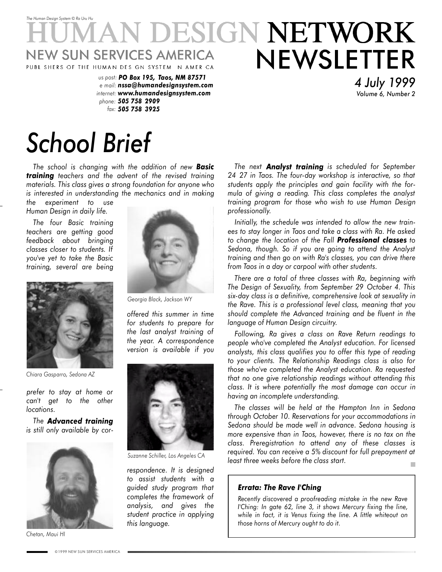## *The Human Design System* © *Ra Uru Hu* **DESIGN NETWORK** NEWSLETTER **NEW SUN SERVICES AMERICA** PUBL SHERS OF THE HUMAN DES GN SYSTEM N AMER CA

*us post: PO Box 195, Taos, NM 87571 e mail: nssa@humandesignsystem.com internet: www.humandesignsystem.com phone: 505 758 2909 fax: 505 758 3925*

# *School Brief*

*The school is changing with the addition of new Basic training teachers and the advent of the revised training materials. This class gives a strong foundation for anyone who is interested in understanding the mechanics and in making the experiment to use*

*Human Design in daily life.*

*The four Basic training teachers are getting good feedback about bringing classes closer to students. If you've yet to take the Basic training, several are being*



*Chiara Gasparro, Sedona AZ*

*prefer to stay at home or can't get to the other locations.*

*The Advanced training is still only available by cor-*



*Chetan, Maui HI*



*Georgia Black, Jackson WY*

*offered this summer in time for students to prepare for the last analyst training of the year. A correspondence version is available if you*



*Suzanne Schiller, Los Angeles CA*

*respondence. It is designed to assist students with a guided study program that completes the framework of analysis, and gives the student practice in applying this language.*

*The next Analyst training is scheduled for September 24 27 in Taos. The four-day workshop is interactive, so that students apply the principles and gain facility with the formula of giving a reading. This class completes the analyst training program for those who wish to use Human Design professionally.*

*4 July 1999 Volume 6, Number 2*

*Initially, the schedule was intended to allow the new trainees to stay longer in Taos and take a class with Ra. He asked to change the location of the Fall Professional classes to Sedona, though. So if you are going to attend the Analyst training and then go on with Ra's classes, you can drive there from Taos in a day or carpool with other students.*

*There are a total of three classes with Ra, beginning with The Design of Sexuality, from September 29 October 4. This six-day class is a definitive, comprehensive look at sexuality in the Rave. This is a professional level class, meaning that you should complete the Advanced training and be fluent in the language of Human Design circuitry.*

*Following, Ra gives a class on Rave Return readings to people who've completed the Analyst education. For licensed analysts, this class qualifies you to offer this type of reading to your clients. The Relationship Readings class is also for those who've completed the Analyst education. Ra requested that no one give relationship readings without attending this class. It is where potentially the most damage can occur in having an incomplete understanding.*

*The classes will be held at the Hampton Inn in Sedona through October 10. Reservations for your accommodations in Sedona should be made well in advance. Sedona housing is more expensive than in Taos, however, there is no tax on the class. Preregistration to attend any of these classes is required. You can receive a 5% discount for full prepayment at least three weeks before the class start.*

#### *Errata: The Rave I'Ching*

*Recently discovered a proofreading mistake in the new Rave I'Ching: In gate 62, line 3, it shows Mercury fixing the line, while in fact, it is Venus fixing the line. A little whiteout on those horns of Mercury ought to do it.*